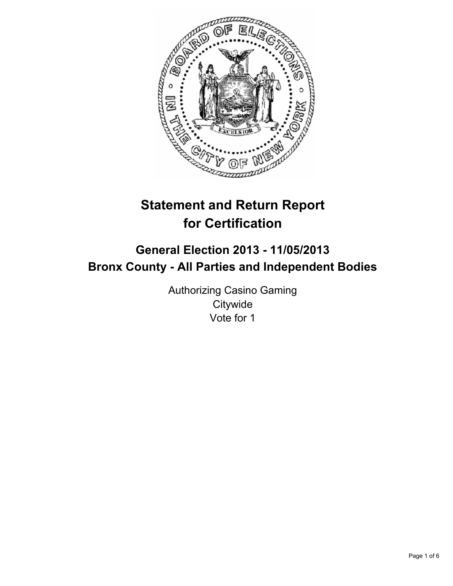

# **Statement and Return Report for Certification**

# **General Election 2013 - 11/05/2013 Bronx County - All Parties and Independent Bodies**

Authorizing Casino Gaming **Citywide** Vote for 1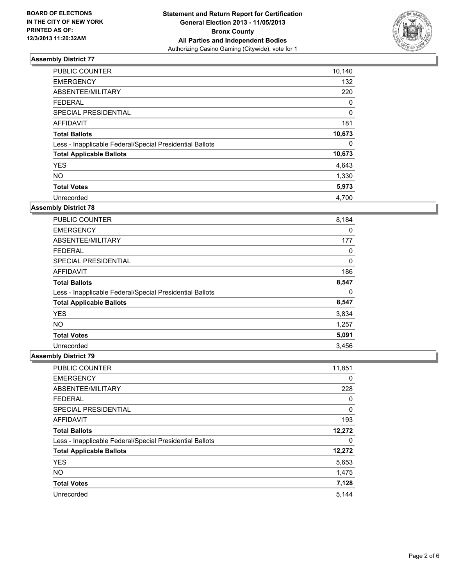

| <b>PUBLIC COUNTER</b>                                    | 10,140 |
|----------------------------------------------------------|--------|
| <b>EMERGENCY</b>                                         | 132    |
| ABSENTEE/MILITARY                                        | 220    |
| <b>FEDERAL</b>                                           | 0      |
| SPECIAL PRESIDENTIAL                                     | 0      |
| <b>AFFIDAVIT</b>                                         | 181    |
| <b>Total Ballots</b>                                     | 10,673 |
| Less - Inapplicable Federal/Special Presidential Ballots | 0      |
| <b>Total Applicable Ballots</b>                          | 10,673 |
| <b>YES</b>                                               | 4,643  |
| <b>NO</b>                                                | 1,330  |
| <b>Total Votes</b>                                       | 5,973  |
| Unrecorded                                               | 4.700  |

# **Assembly District 78**

| <b>PUBLIC COUNTER</b>                                    | 8,184 |
|----------------------------------------------------------|-------|
| <b>EMERGENCY</b>                                         | 0     |
| ABSENTEE/MILITARY                                        | 177   |
| <b>FEDERAL</b>                                           | 0     |
| SPECIAL PRESIDENTIAL                                     | 0     |
| AFFIDAVIT                                                | 186   |
| <b>Total Ballots</b>                                     | 8,547 |
| Less - Inapplicable Federal/Special Presidential Ballots | 0     |
| <b>Total Applicable Ballots</b>                          | 8,547 |
| <b>YES</b>                                               | 3,834 |
| NO.                                                      | 1,257 |
| <b>Total Votes</b>                                       | 5,091 |
| Unrecorded                                               | 3,456 |

| <b>PUBLIC COUNTER</b>                                    | 11,851 |
|----------------------------------------------------------|--------|
| <b>EMERGENCY</b>                                         | 0      |
| ABSENTEE/MILITARY                                        | 228    |
| <b>FEDERAL</b>                                           | 0      |
| SPECIAL PRESIDENTIAL                                     | 0      |
| <b>AFFIDAVIT</b>                                         | 193    |
| <b>Total Ballots</b>                                     | 12,272 |
| Less - Inapplicable Federal/Special Presidential Ballots | 0      |
| <b>Total Applicable Ballots</b>                          | 12,272 |
| <b>YES</b>                                               | 5,653  |
| <b>NO</b>                                                | 1,475  |
| <b>Total Votes</b>                                       | 7,128  |
| Unrecorded                                               | 5.144  |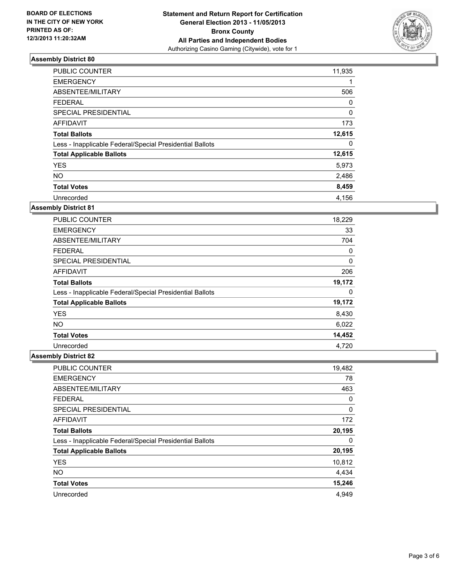

| PUBLIC COUNTER                                           | 11,935   |
|----------------------------------------------------------|----------|
| <b>EMERGENCY</b>                                         |          |
| ABSENTEE/MILITARY                                        | 506      |
| <b>FEDERAL</b>                                           | 0        |
| SPECIAL PRESIDENTIAL                                     | $\Omega$ |
| <b>AFFIDAVIT</b>                                         | 173      |
| <b>Total Ballots</b>                                     | 12,615   |
| Less - Inapplicable Federal/Special Presidential Ballots | 0        |
| <b>Total Applicable Ballots</b>                          | 12,615   |
| <b>YES</b>                                               | 5,973    |
| <b>NO</b>                                                | 2,486    |
| <b>Total Votes</b>                                       | 8,459    |
| Unrecorded                                               | 4.156    |

# **Assembly District 81**

| <b>PUBLIC COUNTER</b>                                    | 18,229 |
|----------------------------------------------------------|--------|
| <b>EMERGENCY</b>                                         | 33     |
| ABSENTEE/MILITARY                                        | 704    |
| <b>FEDERAL</b>                                           | 0      |
| <b>SPECIAL PRESIDENTIAL</b>                              | 0      |
| AFFIDAVIT                                                | 206    |
| <b>Total Ballots</b>                                     | 19,172 |
| Less - Inapplicable Federal/Special Presidential Ballots | 0      |
| <b>Total Applicable Ballots</b>                          | 19,172 |
| <b>YES</b>                                               | 8,430  |
| <b>NO</b>                                                | 6,022  |
| <b>Total Votes</b>                                       | 14,452 |
| Unrecorded                                               | 4,720  |

| <b>PUBLIC COUNTER</b>                                    | 19,482 |
|----------------------------------------------------------|--------|
| <b>EMERGENCY</b>                                         | 78     |
| ABSENTEE/MILITARY                                        | 463    |
| <b>FEDERAL</b>                                           | 0      |
| SPECIAL PRESIDENTIAL                                     | 0      |
| <b>AFFIDAVIT</b>                                         | 172    |
| <b>Total Ballots</b>                                     | 20,195 |
| Less - Inapplicable Federal/Special Presidential Ballots | 0      |
| <b>Total Applicable Ballots</b>                          | 20,195 |
| <b>YES</b>                                               | 10,812 |
| <b>NO</b>                                                | 4,434  |
| <b>Total Votes</b>                                       | 15,246 |
| Unrecorded                                               | 4.949  |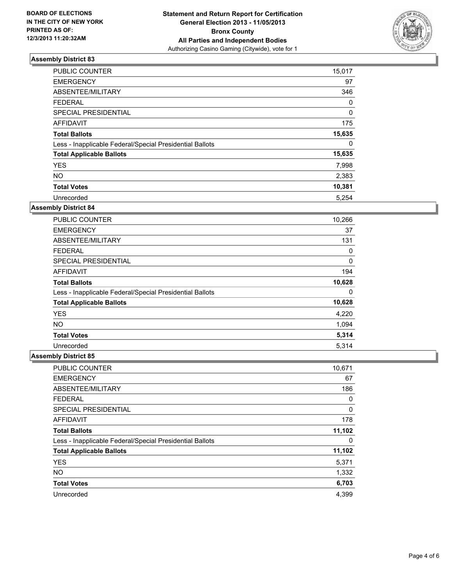

| <b>PUBLIC COUNTER</b>                                    | 15,017 |
|----------------------------------------------------------|--------|
| <b>EMERGENCY</b>                                         | 97     |
| ABSENTEE/MILITARY                                        | 346    |
| <b>FEDERAL</b>                                           | 0      |
| SPECIAL PRESIDENTIAL                                     | 0      |
| <b>AFFIDAVIT</b>                                         | 175    |
| <b>Total Ballots</b>                                     | 15,635 |
| Less - Inapplicable Federal/Special Presidential Ballots | 0      |
| <b>Total Applicable Ballots</b>                          | 15,635 |
| <b>YES</b>                                               | 7,998  |
| <b>NO</b>                                                | 2,383  |
| <b>Total Votes</b>                                       | 10,381 |
| Unrecorded                                               | 5,254  |

# **Assembly District 84**

| <b>PUBLIC COUNTER</b>                                    | 10,266 |
|----------------------------------------------------------|--------|
| <b>EMERGENCY</b>                                         | 37     |
| ABSENTEE/MILITARY                                        | 131    |
| <b>FEDERAL</b>                                           | 0      |
| <b>SPECIAL PRESIDENTIAL</b>                              | 0      |
| AFFIDAVIT                                                | 194    |
| <b>Total Ballots</b>                                     | 10,628 |
| Less - Inapplicable Federal/Special Presidential Ballots | 0      |
| <b>Total Applicable Ballots</b>                          | 10,628 |
| <b>YES</b>                                               | 4,220  |
| <b>NO</b>                                                | 1,094  |
| <b>Total Votes</b>                                       | 5,314  |
| Unrecorded                                               | 5.314  |

| <b>PUBLIC COUNTER</b>                                    | 10,671 |
|----------------------------------------------------------|--------|
| <b>EMERGENCY</b>                                         | 67     |
| ABSENTEE/MILITARY                                        | 186    |
| <b>FEDERAL</b>                                           | 0      |
| SPECIAL PRESIDENTIAL                                     | 0      |
| <b>AFFIDAVIT</b>                                         | 178    |
| <b>Total Ballots</b>                                     | 11,102 |
| Less - Inapplicable Federal/Special Presidential Ballots | 0      |
| <b>Total Applicable Ballots</b>                          | 11,102 |
| <b>YES</b>                                               | 5,371  |
| <b>NO</b>                                                | 1,332  |
| <b>Total Votes</b>                                       | 6,703  |
| Unrecorded                                               | 4.399  |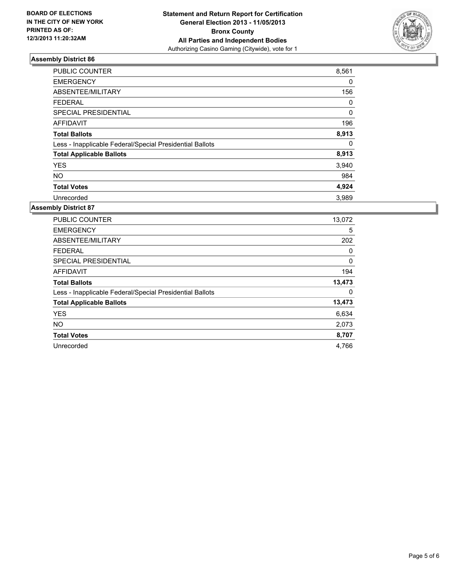

| <b>PUBLIC COUNTER</b>                                    | 8,561 |
|----------------------------------------------------------|-------|
| <b>EMERGENCY</b>                                         | 0     |
| ABSENTEE/MILITARY                                        | 156   |
| <b>FEDERAL</b>                                           | 0     |
| SPECIAL PRESIDENTIAL                                     | 0     |
| <b>AFFIDAVIT</b>                                         | 196   |
| <b>Total Ballots</b>                                     | 8,913 |
| Less - Inapplicable Federal/Special Presidential Ballots | 0     |
| <b>Total Applicable Ballots</b>                          | 8,913 |
| <b>YES</b>                                               | 3,940 |
| <b>NO</b>                                                | 984   |
| <b>Total Votes</b>                                       | 4,924 |
| Unrecorded                                               | 3,989 |

| <b>PUBLIC COUNTER</b>                                    | 13,072 |
|----------------------------------------------------------|--------|
| <b>EMERGENCY</b>                                         | 5      |
| ABSENTEE/MILITARY                                        | 202    |
| <b>FEDERAL</b>                                           | 0      |
| SPECIAL PRESIDENTIAL                                     | 0      |
| <b>AFFIDAVIT</b>                                         | 194    |
| <b>Total Ballots</b>                                     | 13,473 |
| Less - Inapplicable Federal/Special Presidential Ballots | 0      |
| <b>Total Applicable Ballots</b>                          | 13,473 |
| <b>YES</b>                                               | 6,634  |
| <b>NO</b>                                                | 2,073  |
| <b>Total Votes</b>                                       | 8,707  |
| Unrecorded                                               | 4,766  |